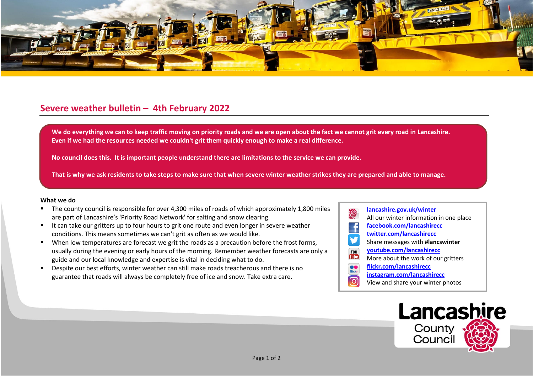

## **Severe weather bulletin – 4th February 2022**

We do everything we can to keep traffic moving on priority roads and we are open about the fact we cannot grit every road in Lancashire. **Even if we had the resources needed we couldn't grit them quickly enough to make a real difference.**

**No council does this. It is important people understand there are limitations to the service we can provide.**

**That is why we ask residents to take steps to make sure that when severe winter weather strikes they are prepared and able to manage.**

## **What we do**

- The county council is responsible for over 4,300 miles of roads of which approximately 1,800 miles are part of Lancashire's 'Priority Road Network' for salting and snow clearing.
- It can take our gritters up to four hours to grit one route and even longer in severe weather conditions. This means sometimes we can't grit as often as we would like.
- When low temperatures are forecast we grit the roads as a precaution before the frost forms, usually during the evening or early hours of the morning. Remember weather forecasts are only a guide and our local knowledge and expertise is vital in deciding what to do.
- Despite our best efforts, winter weather can still make roads treacherous and there is no guarantee that roads will always be completely free of ice and snow. Take extra care.
- **[lancashire.gov.uk/winter](http://www.lancashire.gov.uk/winter)** All our winter information in one place **[facebook.com/lancashirecc](http://www.facebook.com/lancashirecc) [twitter.com/lancashirecc](http://www.twitter.com/lancashirecc)** y Share messages with **#lancswinter [youtube.com/lancashirecc](http://www.youtube.com/lancashirecc)** You **Tilte** More about the work of our gritters  $\bullet$ **[flickr.com/lancashirecc](http://www.flickr.com/lancashirecc)** flickr **[instagram.com/lancashirecc](http://www.instagram.com/lancashirecc)** ြင View and share your winter photos